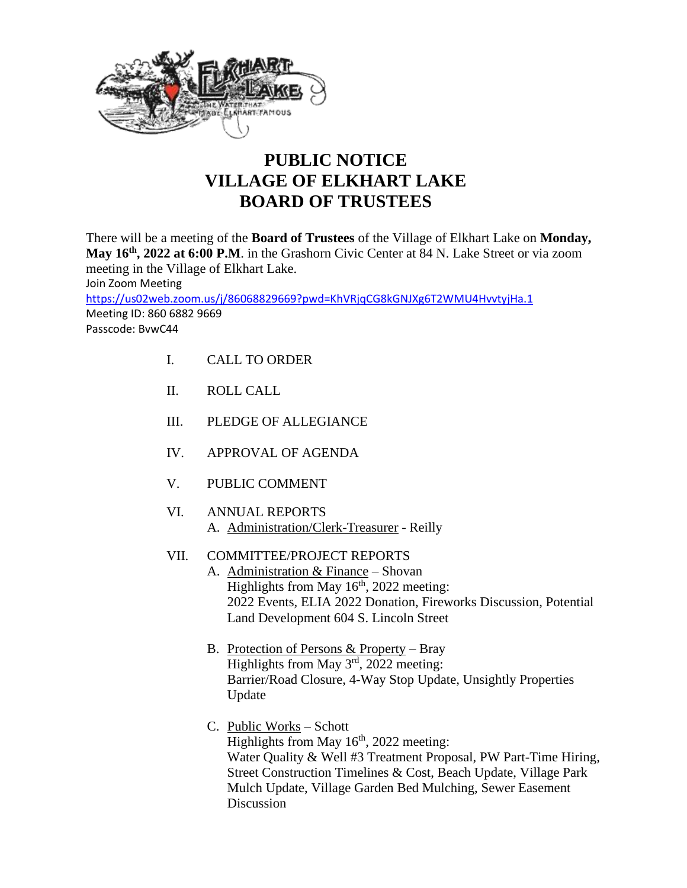

## **PUBLIC NOTICE VILLAGE OF ELKHART LAKE BOARD OF TRUSTEES**

There will be a meeting of the **Board of Trustees** of the Village of Elkhart Lake on **Monday, May 16th , 2022 at 6:00 P.M**. in the Grashorn Civic Center at 84 N. Lake Street or via zoom meeting in the Village of Elkhart Lake. Join Zoom Meeting <https://us02web.zoom.us/j/86068829669?pwd=KhVRjqCG8kGNJXg6T2WMU4HvvtyjHa.1> Meeting ID: 860 6882 9669 Passcode: BvwC44

- I. CALL TO ORDER
- II. ROLL CALL
- III. PLEDGE OF ALLEGIANCE
- IV. APPROVAL OF AGENDA
- V. PUBLIC COMMENT
- VI. ANNUAL REPORTS A. Administration/Clerk-Treasurer - Reilly
- VII. COMMITTEE/PROJECT REPORTS
	- A. Administration & Finance Shovan Highlights from May  $16<sup>th</sup>$ , 2022 meeting: 2022 Events, ELIA 2022 Donation, Fireworks Discussion, Potential Land Development 604 S. Lincoln Street
	- B. Protection of Persons & Property Bray Highlights from May 3<sup>rd</sup>, 2022 meeting: Barrier/Road Closure, 4-Way Stop Update, Unsightly Properties Update
	- C. Public Works Schott Highlights from May  $16<sup>th</sup>$ , 2022 meeting: Water Quality & Well #3 Treatment Proposal, PW Part-Time Hiring, Street Construction Timelines & Cost, Beach Update, Village Park Mulch Update, Village Garden Bed Mulching, Sewer Easement **Discussion**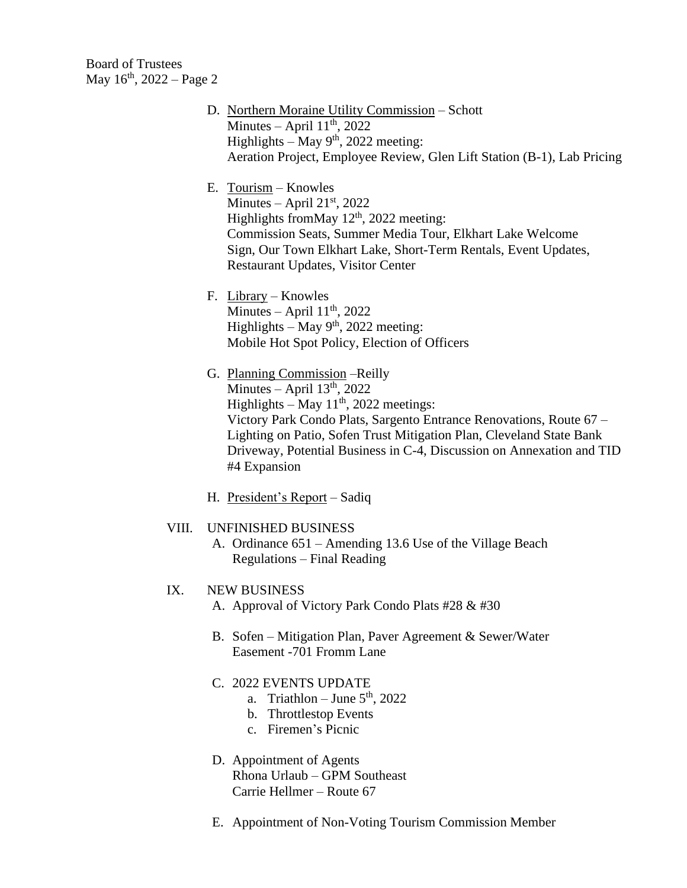Board of Trustees May  $16^{th}$ , 2022 – Page 2

- D. Northern Moraine Utility Commission Schott Minutes – April  $11<sup>th</sup>$ , 2022 Highlights – May  $9<sup>th</sup>$ , 2022 meeting: Aeration Project, Employee Review, Glen Lift Station (B-1), Lab Pricing
- E. Tourism Knowles Minutes – April  $21<sup>st</sup>$ , 2022 Highlights from May  $12<sup>th</sup>$ , 2022 meeting: Commission Seats, Summer Media Tour, Elkhart Lake Welcome Sign, Our Town Elkhart Lake, Short-Term Rentals, Event Updates, Restaurant Updates, Visitor Center
- F. Library Knowles Minutes – April  $11<sup>th</sup>$ , 2022 Highlights – May  $9<sup>th</sup>$ , 2022 meeting: Mobile Hot Spot Policy, Election of Officers
- G. Planning Commission –Reilly Minutes – April  $13<sup>th</sup>$ , 2022 Highlights – May  $11<sup>th</sup>$ , 2022 meetings: Victory Park Condo Plats, Sargento Entrance Renovations, Route 67 – Lighting on Patio, Sofen Trust Mitigation Plan, Cleveland State Bank Driveway, Potential Business in C-4, Discussion on Annexation and TID #4 Expansion
- H. President's Report Sadiq

## VIII. UNFINISHED BUSINESS

A. Ordinance 651 – Amending 13.6 Use of the Village Beach Regulations – Final Reading

## IX. NEW BUSINESS

- A. Approval of Victory Park Condo Plats #28 & #30
- B. Sofen Mitigation Plan, Paver Agreement & Sewer/Water Easement -701 Fromm Lane
- C. 2022 EVENTS UPDATE
	- a. Triathlon June  $5<sup>th</sup>$ , 2022
	- b. Throttlestop Events
	- c. Firemen's Picnic
- D. Appointment of Agents Rhona Urlaub – GPM Southeast Carrie Hellmer – Route 67
- E. Appointment of Non-Voting Tourism Commission Member